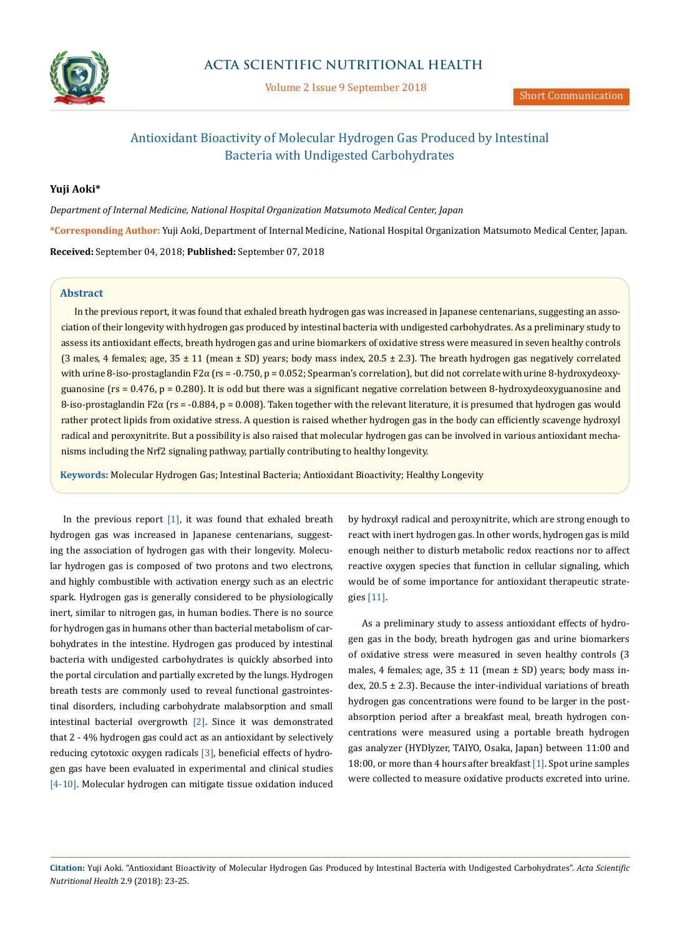

Volume 2 Issue 9 September 2018

# Antioxidant Bioactivity of Molecular Hydrogen Gas Produced by Intestinal Bacteria with Undigested Carbohydrates

## **Yuji Aoki\***

*Department of Internal Medicine, National Hospital Organization Matsumoto Medical Center, Japan* **\*Corresponding Author:** Yuji Aoki, Department of Internal Medicine, National Hospital Organization Matsumoto Medical Center, Japan. **Received:** September 04, 2018; **Published:** September 07, 2018

### **Abstract**

In the previous report, it was found that exhaled breath hydrogen gas was increased in Japanese centenarians, suggesting an association of their longevity with hydrogen gas produced by intestinal bacteria with undigested carbohydrates. As a preliminary study to assess its antioxidant effects, breath hydrogen gas and urine biomarkers of oxidative stress were measured in seven healthy controls (3 males, 4 females; age,  $35 \pm 11$  (mean  $\pm$  SD) years; body mass index, 20.5  $\pm$  2.3). The breath hydrogen gas negatively correlated with urine 8-iso-prostaglandin F2 $\alpha$  (rs = -0.750, p = 0.052; Spearman's correlation), but did not correlate with urine 8-hydroxydeoxyguanosine ( $rs = 0.476$ ,  $p = 0.280$ ). It is odd but there was a significant negative correlation between 8-hydroxydeoxyguanosine and  $8$ -iso-prostaglandin F2 $\alpha$  (rs = -0.884, p = 0.008). Taken together with the relevant literature, it is presumed that hydrogen gas would rather protect lipids from oxidative stress. A question is raised whether hydrogen gas in the body can efficiently scavenge hydroxyl radical and peroxynitrite. But a possibility is also raised that molecular hydrogen gas can be involved in various antioxidant mechanisms including the Nrf2 signaling pathway, partially contributing to healthy longevity.

**Keywords:** Molecular Hydrogen Gas; Intestinal Bacteria; Antioxidant Bioactivity; Healthy Longevity

In the previous report  $[1]$ , it was found that exhaled breath hydrogen gas was increased in Japanese centenarians, suggesting the association of hydrogen gas with their longevity. Molecular hydrogen gas is composed of two protons and two electrons, and highly combustible with activation energy such as an electric spark. Hydrogen gas is generally considered to be physiologically inert, similar to nitrogen gas, in human bodies. There is no source for hydrogen gas in humans other than bacterial metabolism of carbohydrates in the intestine. Hydrogen gas produced by intestinal bacteria with undigested carbohydrates is quickly absorbed into the portal circulation and partially excreted by the lungs. Hydrogen breath tests are commonly used to reveal functional gastrointestinal disorders, including carbohydrate malabsorption and small intestinal bacterial overgrowth [2]. Since it was demonstrated that 2 - 4% hydrogen gas could act as an antioxidant by selectively reducing cytotoxic oxygen radicals [3], beneficial effects of hydrogen gas have been evaluated in experimental and clinical studies [4-10]. Molecular hydrogen can mitigate tissue oxidation induced

by hydroxyl radical and peroxynitrite, which are strong enough to react with inert hydrogen gas. In other words, hydrogen gas is mild enough neither to disturb metabolic redox reactions nor to affect reactive oxygen species that function in cellular signaling, which would be of some importance for antioxidant therapeutic strategies [11].

As a preliminary study to assess antioxidant effects of hydrogen gas in the body, breath hydrogen gas and urine biomarkers of oxidative stress were measured in seven healthy controls (3 males, 4 females; age,  $35 \pm 11$  (mean  $\pm$  SD) years; body mass index,  $20.5 \pm 2.3$ ). Because the inter-individual variations of breath hydrogen gas concentrations were found to be larger in the postabsorption period after a breakfast meal, breath hydrogen concentrations were measured using a portable breath hydrogen gas analyzer (HYDlyzer, TAIYO, Osaka, Japan) between 11:00 and 18:00, or more than 4 hours after breakfast [1]. Spot urine samples were collected to measure oxidative products excreted into urine.

**Citation:** Yuji Aoki. "Antioxidant Bioactivity of Molecular Hydrogen Gas Produced by Intestinal Bacteria with Undigested Carbohydrates". *Acta Scientific Nutritional Health* 2.9 (2018): 23-25.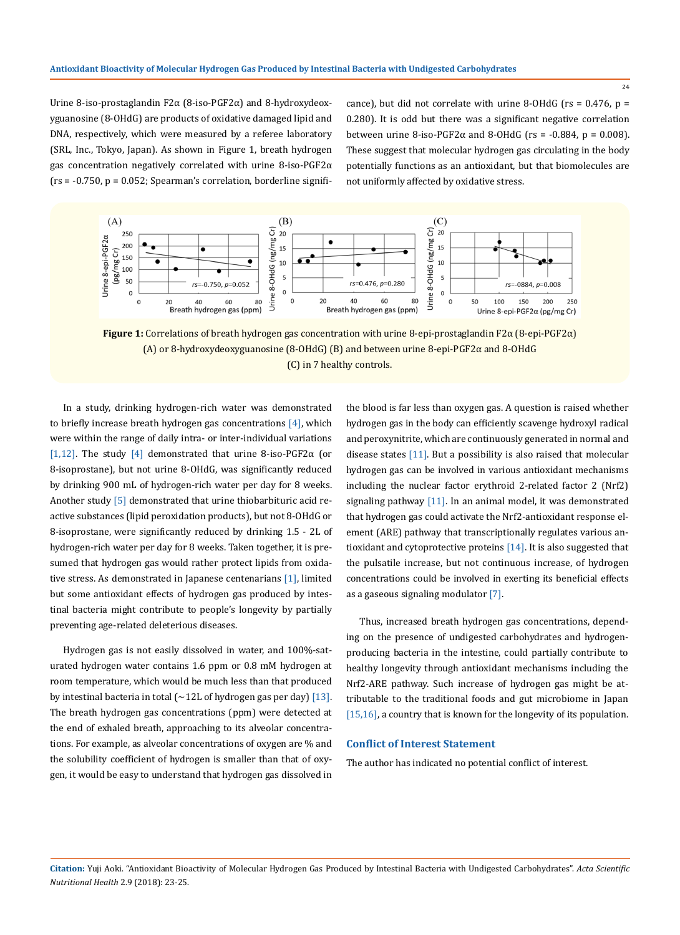Urine 8-iso-prostaglandin F2α (8-iso-PGF2α) and 8-hydroxydeoxyguanosine (8-OHdG) are products of oxidative damaged lipid and DNA, respectively, which were measured by a referee laboratory (SRL, Inc., Tokyo, Japan). As shown in Figure 1, breath hydrogen gas concentration negatively correlated with urine 8-iso-PGF2α  $(rs = -0.750, p = 0.052; Spearman's correlation, borderline signifi-$ 

cance), but did not correlate with urine 8-OHdG ( $rs = 0.476$ ,  $p =$ 0.280). It is odd but there was a significant negative correlation between urine 8-iso-PGF2 $\alpha$  and 8-OHdG (rs = -0.884, p = 0.008). These suggest that molecular hydrogen gas circulating in the body potentially functions as an antioxidant, but that biomolecules are not uniformly affected by oxidative stress.



**Figure 1:** Correlations of breath hydrogen gas concentration with urine 8-epi-prostaglandin F2α (8-epi-PGF2α) (A) or 8-hydroxydeoxyguanosine (8-OHdG) (B) and between urine 8-epi-PGF2α and 8-OHdG (C) in 7 healthy controls.

In a study, drinking hydrogen-rich water was demonstrated to briefly increase breath hydrogen gas concentrations  $[4]$ , which were within the range of daily intra- or inter-individual variations [1,12]. The study [4] demonstrated that urine 8-iso-PGF2α (or 8-isoprostane), but not urine 8-OHdG, was significantly reduced by drinking 900 mL of hydrogen-rich water per day for 8 weeks. Another study [5] demonstrated that urine thiobarbituric acid reactive substances (lipid peroxidation products), but not 8-OHdG or 8-isoprostane, were significantly reduced by drinking 1.5 - 2L of hydrogen-rich water per day for 8 weeks. Taken together, it is presumed that hydrogen gas would rather protect lipids from oxidative stress. As demonstrated in Japanese centenarians [1], limited but some antioxidant effects of hydrogen gas produced by intestinal bacteria might contribute to people's longevity by partially preventing age-related deleterious diseases.

Hydrogen gas is not easily dissolved in water, and 100%-saturated hydrogen water contains 1.6 ppm or 0.8 mM hydrogen at room temperature, which would be much less than that produced by intestinal bacteria in total ( $\sim$ 12L of hydrogen gas per day) [13]. The breath hydrogen gas concentrations (ppm) were detected at the end of exhaled breath, approaching to its alveolar concentrations. For example, as alveolar concentrations of oxygen are % and the solubility coefficient of hydrogen is smaller than that of oxygen, it would be easy to understand that hydrogen gas dissolved in the blood is far less than oxygen gas. A question is raised whether hydrogen gas in the body can efficiently scavenge hydroxyl radical and peroxynitrite, which are continuously generated in normal and disease states  $[11]$ . But a possibility is also raised that molecular hydrogen gas can be involved in various antioxidant mechanisms including the nuclear factor erythroid 2-related factor 2 (Nrf2) signaling pathway [11]. In an animal model, it was demonstrated that hydrogen gas could activate the Nrf2-antioxidant response element (ARE) pathway that transcriptionally regulates various antioxidant and cytoprotective proteins [14]. It is also suggested that the pulsatile increase, but not continuous increase, of hydrogen concentrations could be involved in exerting its beneficial effects as a gaseous signaling modulator [7].

Thus, increased breath hydrogen gas concentrations, depending on the presence of undigested carbohydrates and hydrogenproducing bacteria in the intestine, could partially contribute to healthy longevity through antioxidant mechanisms including the Nrf2-ARE pathway. Such increase of hydrogen gas might be attributable to the traditional foods and gut microbiome in Japan [15,16], a country that is known for the longevity of its population.

#### **Conflict of Interest Statement**

The author has indicated no potential conflict of interest.

**Citation:** Yuji Aoki. "Antioxidant Bioactivity of Molecular Hydrogen Gas Produced by Intestinal Bacteria with Undigested Carbohydrates". *Acta Scientific Nutritional Health* 2.9 (2018): 23-25.

24